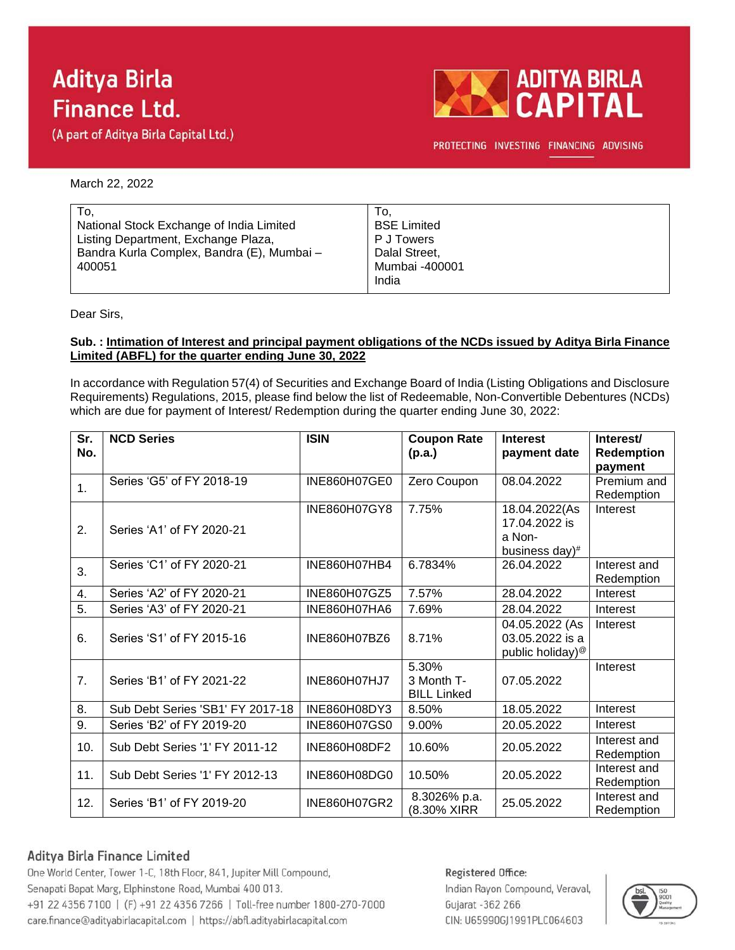# **Aditya Birla Finance Ltd.**

(A part of Aditya Birla Capital Ltd.)



PROTECTING INVESTING FINANCING ADVISING

March 22, 2022

| To.                                        | To.                |
|--------------------------------------------|--------------------|
| National Stock Exchange of India Limited   | <b>BSE Limited</b> |
| Listing Department, Exchange Plaza,        | P J Towers         |
| Bandra Kurla Complex, Bandra (E), Mumbai - | Dalal Street,      |
| 400051                                     | Mumbai -400001     |
|                                            | India              |

Dear Sirs,

#### **Sub. : Intimation of Interest and principal payment obligations of the NCDs issued by Aditya Birla Finance Limited (ABFL) for the quarter ending June 30, 2022**

In accordance with Regulation 57(4) of Securities and Exchange Board of India (Listing Obligations and Disclosure Requirements) Regulations, 2015, please find below the list of Redeemable, Non-Convertible Debentures (NCDs) which are due for payment of Interest/ Redemption during the quarter ending June 30, 2022:

| Sr.<br>No. | <b>NCD Series</b>                | <b>ISIN</b>         | <b>Coupon Rate</b><br>(p.a.)              | <b>Interest</b><br>payment date                                   | Interest/<br><b>Redemption</b><br>payment |
|------------|----------------------------------|---------------------|-------------------------------------------|-------------------------------------------------------------------|-------------------------------------------|
| 1.         | Series 'G5' of FY 2018-19        | INE860H07GE0        | Zero Coupon                               | 08.04.2022                                                        | Premium and<br>Redemption                 |
| 2.         | Series 'A1' of FY 2020-21        | INE860H07GY8        | 7.75%                                     | 18.04.2022(As<br>17.04.2022 is<br>a Non-<br>business day)#        | Interest                                  |
| 3.         | Series 'C1' of FY 2020-21        | INE860H07HB4        | 6.7834%                                   | 26.04.2022                                                        | Interest and<br>Redemption                |
| 4.         | Series 'A2' of FY 2020-21        | INE860H07GZ5        | 7.57%                                     | 28.04.2022                                                        | Interest                                  |
| 5.         | Series 'A3' of FY 2020-21        | INE860H07HA6        | 7.69%                                     | 28.04.2022                                                        | Interest                                  |
| 6.         | Series 'S1' of FY 2015-16        | INE860H07BZ6        | 8.71%                                     | 04.05.2022 (As<br>03.05.2022 is a<br>public holiday) <sup>@</sup> | Interest                                  |
| 7.         | Series 'B1' of FY 2021-22        | <b>INE860H07HJ7</b> | 5.30%<br>3 Month T-<br><b>BILL Linked</b> | 07.05.2022                                                        | Interest                                  |
| 8.         | Sub Debt Series 'SB1' FY 2017-18 | INE860H08DY3        | 8.50%                                     | 18.05.2022                                                        | Interest                                  |
| 9.         | Series 'B2' of FY 2019-20        | INE860H07GS0        | 9.00%                                     | 20.05.2022                                                        | Interest                                  |
| 10.        | Sub Debt Series '1' FY 2011-12   | INE860H08DF2        | 10.60%                                    | 20.05.2022                                                        | Interest and<br>Redemption                |
| 11.        | Sub Debt Series '1' FY 2012-13   | INE860H08DG0        | 10.50%                                    | 20.05.2022                                                        | Interest and<br>Redemption                |
| 12.        | Series 'B1' of FY 2019-20        | INE860H07GR2        | 8.3026% p.a.<br>(8.30% XIRR               | 25.05.2022                                                        | Interest and<br>Redemption                |

### Aditya Birla Finance Limited

One World Center, Tower 1-C, 18th Floor, 841, Jupiter Mill Compound, Senapati Bapat Marg, Elphinstone Road, Mumbai 400 013. +91 22 4356 7100 | (F) +91 22 4356 7266 | Toll-free number 1800-270-7000 care.finance@adityabirlacapital.com | https://abfl.adityabirlacapital.com

#### Registered Office:

Indian Rayon Compound, Veraval, Gujarat - 362 266 CIN: U65990GJ1991PLC064603

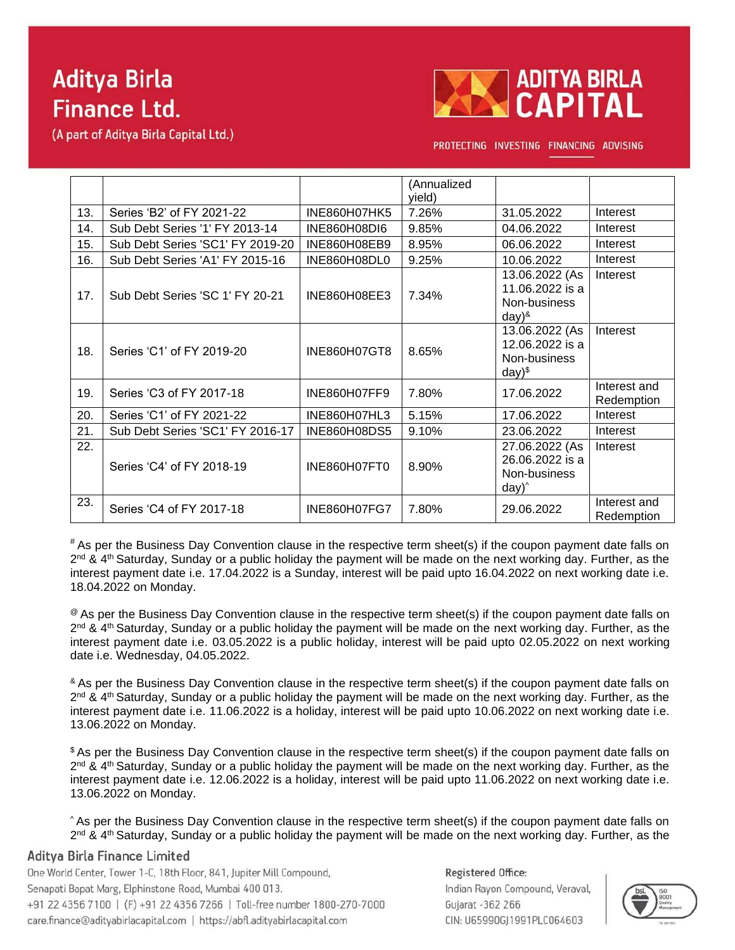# **Aditya Birla Finance Ltd.**

(A part of Aditya Birla Capital Ltd.)



PROTECTING INVESTING FINANCING ADVISING

|     |                                  |                     | (Annualized<br>yield) |                                                                           |                            |
|-----|----------------------------------|---------------------|-----------------------|---------------------------------------------------------------------------|----------------------------|
| 13. | Series 'B2' of FY 2021-22        | <b>INE860H07HK5</b> | 7.26%                 | 31.05.2022                                                                | Interest                   |
| 14. | Sub Debt Series '1' FY 2013-14   | <b>INE860H08DI6</b> | 9.85%                 | 04.06.2022                                                                | Interest                   |
| 15. | Sub Debt Series 'SC1' FY 2019-20 | INE860H08EB9        | 8.95%                 | 06.06.2022                                                                | Interest                   |
| 16. | Sub Debt Series 'A1' FY 2015-16  | INE860H08DL0        | 9.25%                 | 10.06.2022                                                                | Interest                   |
| 17. | Sub Debt Series 'SC 1' FY 20-21  | INE860H08EE3        | 7.34%                 | 13.06.2022 (As<br>11.06.2022 is a<br>Non-business<br>$day)^{8}$           | Interest                   |
| 18. | Series 'C1' of FY 2019-20        | INE860H07GT8        | 8.65%                 | 13.06.2022 (As<br>12.06.2022 is a<br>Non-business<br>$day)$ <sup>\$</sup> | Interest                   |
| 19. | Series 'C3 of FY 2017-18         | INE860H07FF9        | 7.80%                 | 17.06.2022                                                                | Interest and<br>Redemption |
| 20. | Series 'C1' of FY 2021-22        | INE860H07HL3        | 5.15%                 | 17.06.2022                                                                | Interest                   |
| 21. | Sub Debt Series 'SC1' FY 2016-17 | INE860H08DS5        | 9.10%                 | 23.06.2022                                                                | Interest                   |
| 22. | Series 'C4' of FY 2018-19        | INE860H07FT0        | 8.90%                 | 27.06.2022 (As<br>26.06.2022 is a<br>Non-business<br>$day)^{\wedge}$      | Interest                   |
| 23. | Series 'C4 of FY 2017-18         | <b>INE860H07FG7</b> | 7.80%                 | 29.06.2022                                                                | Interest and<br>Redemption |

# As per the Business Day Convention clause in the respective term sheet(s) if the coupon payment date falls on 2<sup>nd</sup> & 4<sup>th</sup> Saturday, Sunday or a public holiday the payment will be made on the next working day. Further, as the interest payment date i.e. 17.04.2022 is a Sunday, interest will be paid upto 16.04.2022 on next working date i.e. 18.04.2022 on Monday.

 $\degree$  As per the Business Day Convention clause in the respective term sheet(s) if the coupon payment date falls on 2<sup>nd</sup> & 4<sup>th</sup> Saturday, Sunday or a public holiday the payment will be made on the next working day. Further, as the interest payment date i.e. 03.05.2022 is a public holiday, interest will be paid upto 02.05.2022 on next working date i.e. Wednesday, 04.05.2022.

& As per the Business Day Convention clause in the respective term sheet(s) if the coupon payment date falls on 2<sup>nd</sup> & 4<sup>th</sup> Saturday, Sunday or a public holiday the payment will be made on the next working day. Further, as the interest payment date i.e. 11.06.2022 is a holiday, interest will be paid upto 10.06.2022 on next working date i.e. 13.06.2022 on Monday.

\$ As per the Business Day Convention clause in the respective term sheet(s) if the coupon payment date falls on 2<sup>nd</sup> & 4<sup>th</sup> Saturday, Sunday or a public holiday the payment will be made on the next working day. Further, as the interest payment date i.e. 12.06.2022 is a holiday, interest will be paid upto 11.06.2022 on next working date i.e. 13.06.2022 on Monday.

^ As per the Business Day Convention clause in the respective term sheet(s) if the coupon payment date falls on 2<sup>nd</sup> & 4<sup>th</sup> Saturday, Sunday or a public holiday the payment will be made on the next working day. Further, as the

### Aditya Birla Finance Limited

One World Center, Tower 1-C, 18th Floor, 841, Jupiter Mill Compound, Senapati Bapat Marg, Elphinstone Road, Mumbai 400 013. +91 22 4356 7100 | (F) +91 22 4356 7266 | Toll-free number 1800-270-7000 care.finance@adityabirlacapital.com | https://abfl.adityabirlacapital.com

Registered Office: Indian Rayon Compound, Veraval, Gujarat - 362 266 CIN: U65990GJ1991PLC064603